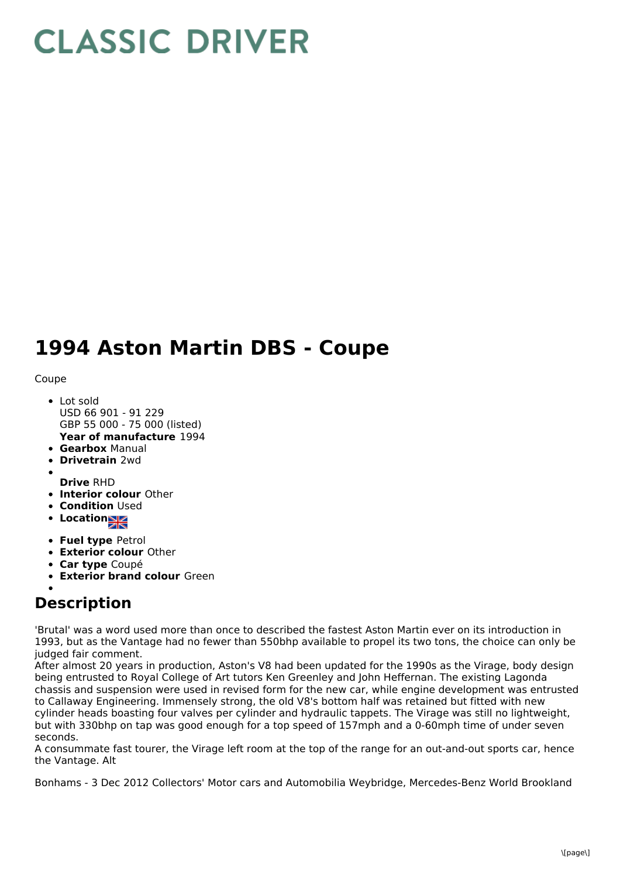## **CLASSIC DRIVER**

## **1994 Aston Martin DBS - Coupe**

Coupe

- **Year of manufacture** 1994 • Lot sold USD 66 901 - 91 229 GBP 55 000 - 75 000 (listed)
- **Gearbox** Manual
- **Drivetrain** 2wd
- **Drive** RHD
- **Interior colour** Other
- **Condition Used**
- **Locations**
- **Fuel type** Petrol
- **Exterior colour** Other
- **Car type** Coupé
- **Exterior brand colour** Green

## **Description**

'Brutal' was a word used more than once to described the fastest Aston Martin ever on its introduction in 1993, but as the Vantage had no fewer than 550bhp available to propel its two tons, the choice can only be judged fair comment.

After almost 20 years in production, Aston's V8 had been updated for the 1990s as the Virage, body design being entrusted to Royal College of Art tutors Ken Greenley and John Heffernan. The existing Lagonda chassis and suspension were used in revised form for the new car, while engine development was entrusted to Callaway Engineering. Immensely strong, the old V8's bottom half was retained but fitted with new cylinder heads boasting four valves per cylinder and hydraulic tappets. The Virage was still no lightweight, but with 330bhp on tap was good enough for a top speed of 157mph and a 0-60mph time of under seven seconds.

A consummate fast tourer, the Virage left room at the top of the range for an out-and-out sports car, hence the Vantage. Alt

Bonhams - 3 Dec 2012 Collectors' Motor cars and Automobilia Weybridge, Mercedes-Benz World Brookland